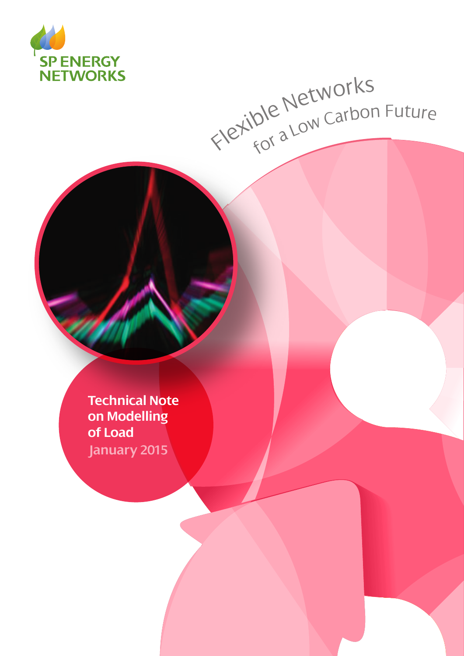

# Flexible Networks<br>Flexible Networks

**Technical Note on Modelling of Load January 2015**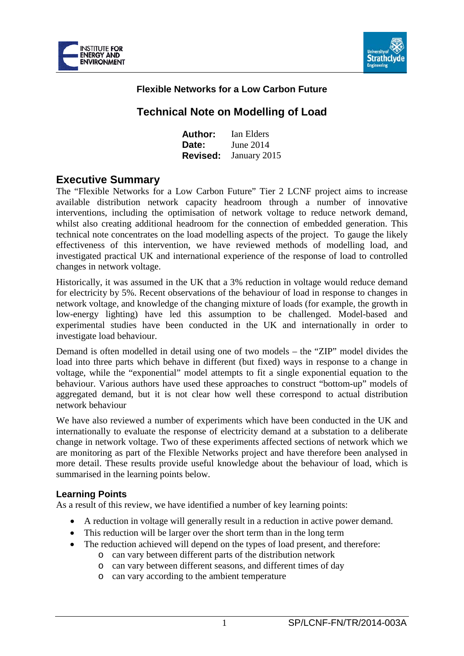



## **Flexible Networks for a Low Carbon Future**

# **Technical Note on Modelling of Load**

| Author:         | Ian Elders   |
|-----------------|--------------|
| <b>Date:</b>    | June 2014    |
| <b>Revised:</b> | January 2015 |

# **Executive Summary**

The "Flexible Networks for a Low Carbon Future" Tier 2 LCNF project aims to increase available distribution network capacity headroom through a number of innovative interventions, including the optimisation of network voltage to reduce network demand, whilst also creating additional headroom for the connection of embedded generation. This technical note concentrates on the load modelling aspects of the project. To gauge the likely effectiveness of this intervention, we have reviewed methods of modelling load, and investigated practical UK and international experience of the response of load to controlled changes in network voltage.

Historically, it was assumed in the UK that a 3% reduction in voltage would reduce demand for electricity by 5%. Recent observations of the behaviour of load in response to changes in network voltage, and knowledge of the changing mixture of loads (for example, the growth in low-energy lighting) have led this assumption to be challenged. Model-based and experimental studies have been conducted in the UK and internationally in order to investigate load behaviour.

Demand is often modelled in detail using one of two models – the "ZIP" model divides the load into three parts which behave in different (but fixed) ways in response to a change in voltage, while the "exponential" model attempts to fit a single exponential equation to the behaviour. Various authors have used these approaches to construct "bottom-up" models of aggregated demand, but it is not clear how well these correspond to actual distribution network behaviour

We have also reviewed a number of experiments which have been conducted in the UK and internationally to evaluate the response of electricity demand at a substation to a deliberate change in network voltage. Two of these experiments affected sections of network which we are monitoring as part of the Flexible Networks project and have therefore been analysed in more detail. These results provide useful knowledge about the behaviour of load, which is summarised in the learning points below.

#### **Learning Points**

As a result of this review, we have identified a number of key learning points:

- A reduction in voltage will generally result in a reduction in active power demand.
- This reduction will be larger over the short term than in the long term
- The reduction achieved will depend on the types of load present, and therefore:
	- o can vary between different parts of the distribution network
		- o can vary between different seasons, and different times of day
		- o can vary according to the ambient temperature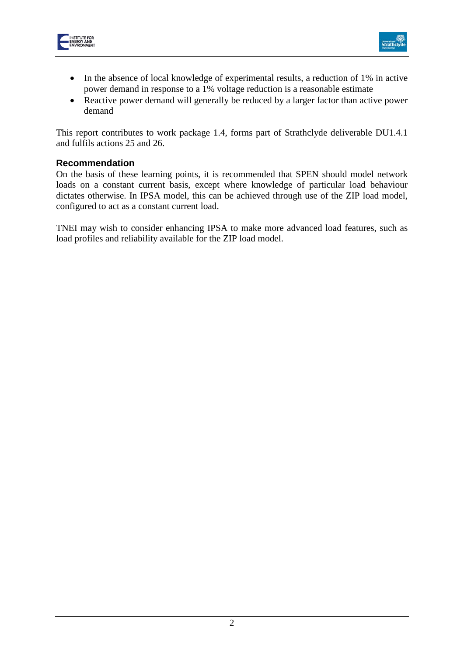



- In the absence of local knowledge of experimental results, a reduction of 1% in active power demand in response to a 1% voltage reduction is a reasonable estimate
- Reactive power demand will generally be reduced by a larger factor than active power demand

This report contributes to work package 1.4, forms part of Strathclyde deliverable DU1.4.1 and fulfils actions 25 and 26.

#### **Recommendation**

On the basis of these learning points, it is recommended that SPEN should model network loads on a constant current basis, except where knowledge of particular load behaviour dictates otherwise. In IPSA model, this can be achieved through use of the ZIP load model, configured to act as a constant current load.

TNEI may wish to consider enhancing IPSA to make more advanced load features, such as load profiles and reliability available for the ZIP load model.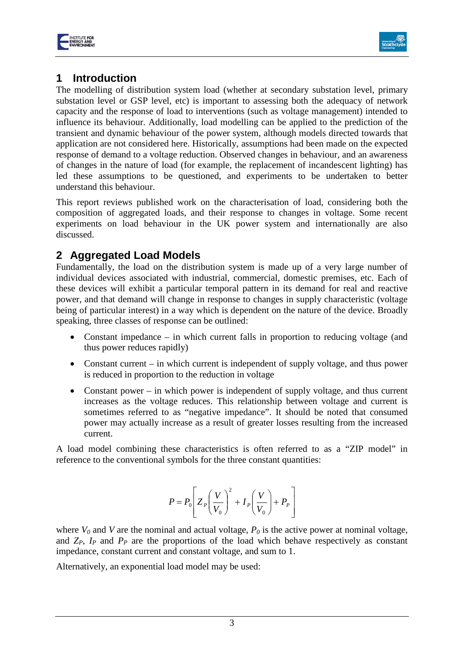



# **1 Introduction**

The modelling of distribution system load (whether at secondary substation level, primary substation level or GSP level, etc) is important to assessing both the adequacy of network capacity and the response of load to interventions (such as voltage management) intended to influence its behaviour. Additionally, load modelling can be applied to the prediction of the transient and dynamic behaviour of the power system, although models directed towards that application are not considered here. Historically, assumptions had been made on the expected response of demand to a voltage reduction. Observed changes in behaviour, and an awareness of changes in the nature of load (for example, the replacement of incandescent lighting) has led these assumptions to be questioned, and experiments to be undertaken to better understand this behaviour.

This report reviews published work on the characterisation of load, considering both the composition of aggregated loads, and their response to changes in voltage. Some recent experiments on load behaviour in the UK power system and internationally are also discussed.

# **2 Aggregated Load Models**

Fundamentally, the load on the distribution system is made up of a very large number of individual devices associated with industrial, commercial, domestic premises, etc. Each of these devices will exhibit a particular temporal pattern in its demand for real and reactive power, and that demand will change in response to changes in supply characteristic (voltage being of particular interest) in a way which is dependent on the nature of the device. Broadly speaking, three classes of response can be outlined:

- Constant impedance in which current falls in proportion to reducing voltage (and thus power reduces rapidly)
- Constant current in which current is independent of supply voltage, and thus power is reduced in proportion to the reduction in voltage
- Constant power in which power is independent of supply voltage, and thus current increases as the voltage reduces. This relationship between voltage and current is sometimes referred to as "negative impedance". It should be noted that consumed power may actually increase as a result of greater losses resulting from the increased current.

A load model combining these characteristics is often referred to as a "ZIP model" in reference to the conventional symbols for the three constant quantities:

$$
P = P_0 \left[ Z_P \left( \frac{V}{V_0} \right)^2 + I_P \left( \frac{V}{V_0} \right) + P_P \right]
$$

where  $V_0$  and *V* are the nominal and actual voltage,  $P_0$  is the active power at nominal voltage, and  $Z_P$ ,  $I_P$  and  $P_P$  are the proportions of the load which behave respectively as constant impedance, constant current and constant voltage, and sum to 1.

Alternatively, an exponential load model may be used: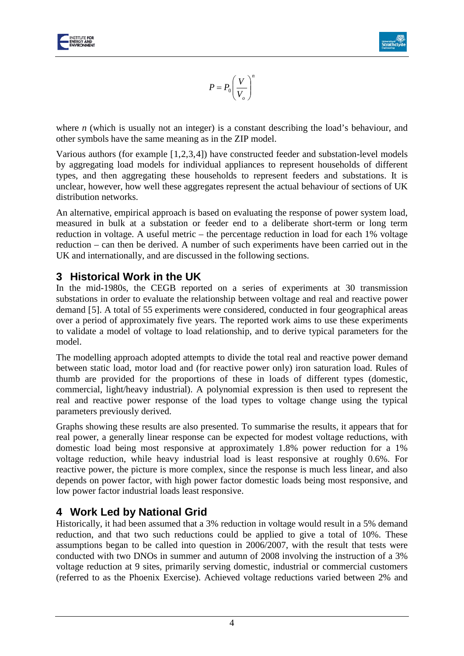



<span id="page-4-0"></span>
$$
P = P_0 \left(\frac{V}{V_o}\right)^n
$$

where *n* (which is usually not an integer) is a constant describing the load's behaviour, and other symbols have the same meaning as in the ZIP model.

Various authors (for example [[1](#page-17-0),[2,](#page-17-1)[3](#page-17-2),[4\]](#page-17-3)) have constructed feeder and substation-level models by aggregating load models for individual appliances to represent households of different types, and then aggregating these households to represent feeders and substations. It is unclear, however, how well these aggregates represent the actual behaviour of sections of UK distribution networks.

An alternative, empirical approach is based on evaluating the response of power system load, measured in bulk at a substation or feeder end to a deliberate short-term or long term reduction in voltage. A useful metric – the percentage reduction in load for each 1% voltage reduction – can then be derived. A number of such experiments have been carried out in the UK and internationally, and are discussed in the following sections.

# **3 Historical Work in the UK**

In the mid-1980s, the CEGB reported on a series of experiments at 30 transmission substations in order to evaluate the relationship between voltage and real and reactive power demand [[5\]](#page-17-4). A total of 55 experiments were considered, conducted in four geographical areas over a period of approximately five years. The reported work aims to use these experiments to validate a model of voltage to load relationship, and to derive typical parameters for the model.

The modelling approach adopted attempts to divide the total real and reactive power demand between static load, motor load and (for reactive power only) iron saturation load. Rules of thumb are provided for the proportions of these in loads of different types (domestic, commercial, light/heavy industrial). A polynomial expression is then used to represent the real and reactive power response of the load types to voltage change using the typical parameters previously derived.

Graphs showing these results are also presented. To summarise the results, it appears that for real power, a generally linear response can be expected for modest voltage reductions, with domestic load being most responsive at approximately 1.8% power reduction for a 1% voltage reduction, while heavy industrial load is least responsive at roughly 0.6%. For reactive power, the picture is more complex, since the response is much less linear, and also depends on power factor, with high power factor domestic loads being most responsive, and low power factor industrial loads least responsive.

# **4 Work Led by National Grid**

Historically, it had been assumed that a 3% reduction in voltage would result in a 5% demand reduction, and that two such reductions could be applied to give a total of 10%. These assumptions began to be called into question in 2006/2007, with the result that tests were conducted with two DNOs in summer and autumn of 2008 involving the instruction of a 3% voltage reduction at 9 sites, primarily serving domestic, industrial or commercial customers (referred to as the Phoenix Exercise). Achieved voltage reductions varied between 2% and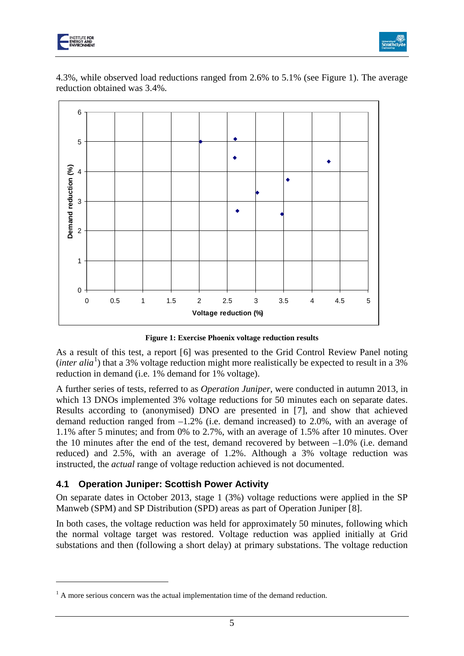

<u>.</u>



4.3%, while observed load reductions ranged from 2.6% to 5.1% (see [Figure 1\)](#page-5-0). The average reduction obtained was 3.4%.



<span id="page-5-2"></span>**Figure 1: Exercise Phoenix voltage reduction results**

<span id="page-5-0"></span>As a result of this test, a report [[6](#page-17-5)] was presented to the Grid Control Review Panel noting (*inter alia*<sup>[1](#page-5-1)</sup>) that a 3% voltage reduction might more realistically be expected to result in a 3% reduction in demand (i.e. 1% demand for 1% voltage).

A further series of tests, referred to as *Operation Juniper*, were conducted in autumn 2013, in which 13 DNOs implemented 3% voltage reductions for 50 minutes each on separate dates. Results according to (anonymised) DNO are presented in [[7\]](#page-17-6), and show that achieved demand reduction ranged from –1.2% (i.e. demand increased) to 2.0%, with an average of 1.1% after 5 minutes; and from 0% to 2.7%, with an average of 1.5% after 10 minutes. Over the 10 minutes after the end of the test, demand recovered by between  $-1.0\%$  (i.e. demand reduced) and 2.5%, with an average of 1.2%. Although a 3% voltage reduction was instructed, the *actual* range of voltage reduction achieved is not documented.

## **4.1 Operation Juniper: Scottish Power Activity**

On separate dates in October 2013, stage 1 (3%) voltage reductions were applied in the SP Manweb (SPM) and SP Distribution (SPD) areas as part of Operation Juniper [[8\]](#page-17-7).

In both cases, the voltage reduction was held for approximately 50 minutes, following which the normal voltage target was restored. Voltage reduction was applied initially at Grid substations and then (following a short delay) at primary substations. The voltage reduction

<span id="page-5-1"></span> $<sup>1</sup>$  A more serious concern was the actual implementation time of the demand reduction.</sup>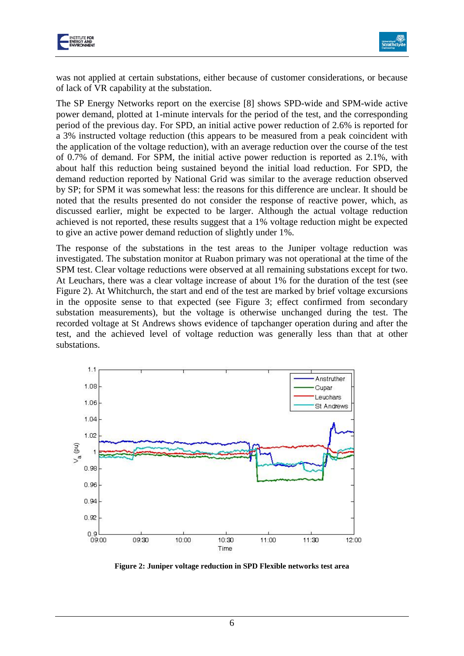



was not applied at certain substations, either because of customer considerations, or because of lack of VR capability at the substation.

The SP Energy Networks report on the exercise [\[8\]](#page-5-2) shows SPD-wide and SPM-wide active power demand, plotted at 1-minute intervals for the period of the test, and the corresponding period of the previous day. For SPD, an initial active power reduction of 2.6% is reported for a 3% instructed voltage reduction (this appears to be measured from a peak coincident with the application of the voltage reduction), with an average reduction over the course of the test of 0.7% of demand. For SPM, the initial active power reduction is reported as 2.1%, with about half this reduction being sustained beyond the initial load reduction. For SPD, the demand reduction reported by National Grid was similar to the average reduction observed by SP; for SPM it was somewhat less: the reasons for this difference are unclear. It should be noted that the results presented do not consider the response of reactive power, which, as discussed earlier, might be expected to be larger. Although the actual voltage reduction achieved is not reported, these results suggest that a 1% voltage reduction might be expected to give an active power demand reduction of slightly under 1%.

The response of the substations in the test areas to the Juniper voltage reduction was investigated. The substation monitor at Ruabon primary was not operational at the time of the SPM test. Clear voltage reductions were observed at all remaining substations except for two. At Leuchars, there was a clear voltage increase of about 1% for the duration of the test (see [Figure 2\)](#page-6-0). At Whitchurch, the start and end of the test are marked by brief voltage excursions in the opposite sense to that expected (see [Figure 3;](#page-7-0) effect confirmed from secondary substation measurements), but the voltage is otherwise unchanged during the test. The recorded voltage at St Andrews shows evidence of tapchanger operation during and after the test, and the achieved level of voltage reduction was generally less than that at other substations.



<span id="page-6-0"></span>**Figure 2: Juniper voltage reduction in SPD Flexible networks test area**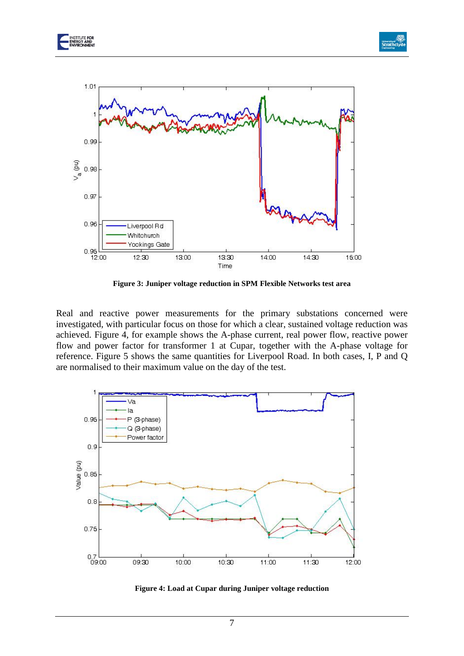





**Figure 3: Juniper voltage reduction in SPM Flexible Networks test area**

<span id="page-7-0"></span>Real and reactive power measurements for the primary substations concerned were investigated, with particular focus on those for which a clear, sustained voltage reduction was achieved. [Figure 4,](#page-7-1) for example shows the A-phase current, real power flow, reactive power flow and power factor for transformer 1 at Cupar, together with the A-phase voltage for reference. [Figure 5](#page-8-0) shows the same quantities for Liverpool Road. In both cases, I, P and Q are normalised to their maximum value on the day of the test.



<span id="page-7-1"></span>**Figure 4: Load at Cupar during Juniper voltage reduction**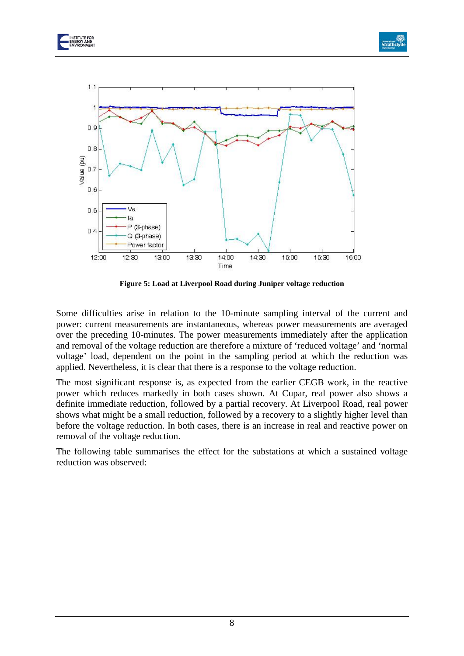





**Figure 5: Load at Liverpool Road during Juniper voltage reduction**

<span id="page-8-0"></span>Some difficulties arise in relation to the 10-minute sampling interval of the current and power: current measurements are instantaneous, whereas power measurements are averaged over the preceding 10-minutes. The power measurements immediately after the application and removal of the voltage reduction are therefore a mixture of 'reduced voltage' and 'normal voltage' load, dependent on the point in the sampling period at which the reduction was applied. Nevertheless, it is clear that there is a response to the voltage reduction.

The most significant response is, as expected from the earlier CEGB work, in the reactive power which reduces markedly in both cases shown. At Cupar, real power also shows a definite immediate reduction, followed by a partial recovery. At Liverpool Road, real power shows what might be a small reduction, followed by a recovery to a slightly higher level than before the voltage reduction. In both cases, there is an increase in real and reactive power on removal of the voltage reduction.

The following table summarises the effect for the substations at which a sustained voltage reduction was observed: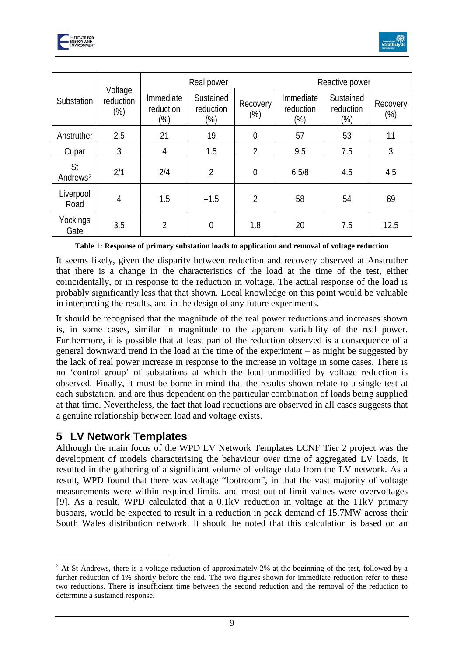



|                            | Voltage<br>reduction<br>$(\%)$ | Real power                    |                                  |                    | Reactive power                |                                  |                    |
|----------------------------|--------------------------------|-------------------------------|----------------------------------|--------------------|-------------------------------|----------------------------------|--------------------|
| Substation                 |                                | Immediate<br>reduction<br>(%) | Sustained<br>reduction<br>$(\%)$ | Recovery<br>$(\%)$ | Immediate<br>reduction<br>(%) | Sustained<br>reduction<br>$(\%)$ | Recovery<br>$(\%)$ |
| Anstruther                 | 2.5                            | 21                            | 19                               | $\overline{0}$     | 57                            | 53                               | 11                 |
| Cupar                      | 3                              | 4                             | 1.5                              | $\overline{2}$     | 9.5                           | 7.5                              | 3                  |
| St<br>Andrews <sup>2</sup> | 2/1                            | 2/4                           | $\overline{2}$                   | $\overline{0}$     | 6.5/8                         | 4.5                              | 4.5                |
| Liverpool<br>Road          | 4                              | 1.5                           | $-1.5$                           | $\overline{2}$     | 58                            | 54                               | 69                 |
| Yockings<br>Gate           | 3.5                            | $\mathfrak{D}$                | $\overline{0}$                   | 1.8                | 20                            | 7.5                              | 12.5               |

**Table 1: Response of primary substation loads to application and removal of voltage reduction**

It seems likely, given the disparity between reduction and recovery observed at Anstruther that there is a change in the characteristics of the load at the time of the test, either coincidentally, or in response to the reduction in voltage. The actual response of the load is probably significantly less that that shown. Local knowledge on this point would be valuable in interpreting the results, and in the design of any future experiments.

It should be recognised that the magnitude of the real power reductions and increases shown is, in some cases, similar in magnitude to the apparent variability of the real power. Furthermore, it is possible that at least part of the reduction observed is a consequence of a general downward trend in the load at the time of the experiment – as might be suggested by the lack of real power increase in response to the increase in voltage in some cases. There is no 'control group' of substations at which the load unmodified by voltage reduction is observed. Finally, it must be borne in mind that the results shown relate to a single test at each substation, and are thus dependent on the particular combination of loads being supplied at that time. Nevertheless, the fact that load reductions are observed in all cases suggests that a genuine relationship between load and voltage exists.

# **5 LV Network Templates**

<u>.</u>

Although the main focus of the WPD LV Network Templates LCNF Tier 2 project was the development of models characterising the behaviour over time of aggregated LV loads, it resulted in the gathering of a significant volume of voltage data from the LV network. As a result, WPD found that there was voltage "footroom", in that the vast majority of voltage measurements were within required limits, and most out-of-limit values were overvoltages [[9\]](#page-18-0). As a result, WPD calculated that a 0.1kV reduction in voltage at the 11kV primary busbars, would be expected to result in a reduction in peak demand of 15.7MW across their South Wales distribution network. It should be noted that this calculation is based on an

<span id="page-9-0"></span><sup>&</sup>lt;sup>2</sup> At St Andrews, there is a voltage reduction of approximately 2% at the beginning of the test, followed by a further reduction of 1% shortly before the end. The two figures shown for immediate reduction refer to these two reductions. There is insufficient time between the second reduction and the removal of the reduction to determine a sustained response.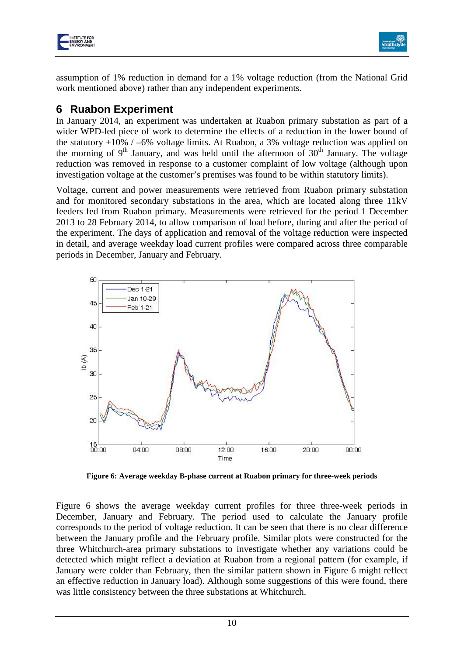



assumption of 1% reduction in demand for a 1% voltage reduction (from the National Grid work mentioned above) rather than any independent experiments.

## **6 Ruabon Experiment**

In January 2014, an experiment was undertaken at Ruabon primary substation as part of a wider WPD-led piece of work to determine the effects of a reduction in the lower bound of the statutory  $+10\%$  / –6% voltage limits. At Ruabon, a 3% voltage reduction was applied on the morning of  $9<sup>th</sup>$  January, and was held until the afternoon of  $30<sup>th</sup>$  January. The voltage reduction was removed in response to a customer complaint of low voltage (although upon investigation voltage at the customer's premises was found to be within statutory limits).

Voltage, current and power measurements were retrieved from Ruabon primary substation and for monitored secondary substations in the area, which are located along three 11kV feeders fed from Ruabon primary. Measurements were retrieved for the period 1 December 2013 to 28 February 2014, to allow comparison of load before, during and after the period of the experiment. The days of application and removal of the voltage reduction were inspected in detail, and average weekday load current profiles were compared across three comparable periods in December, January and February.



<span id="page-10-0"></span>**Figure 6: Average weekday B-phase current at Ruabon primary for three-week periods**

[Figure 6](#page-10-0) shows the average weekday current profiles for three three-week periods in December, January and February. The period used to calculate the January profile corresponds to the period of voltage reduction. It can be seen that there is no clear difference between the January profile and the February profile. Similar plots were constructed for the three Whitchurch-area primary substations to investigate whether any variations could be detected which might reflect a deviation at Ruabon from a regional pattern (for example, if January were colder than February, then the similar pattern shown in [Figure 6](#page-10-0) might reflect an effective reduction in January load). Although some suggestions of this were found, there was little consistency between the three substations at Whitchurch.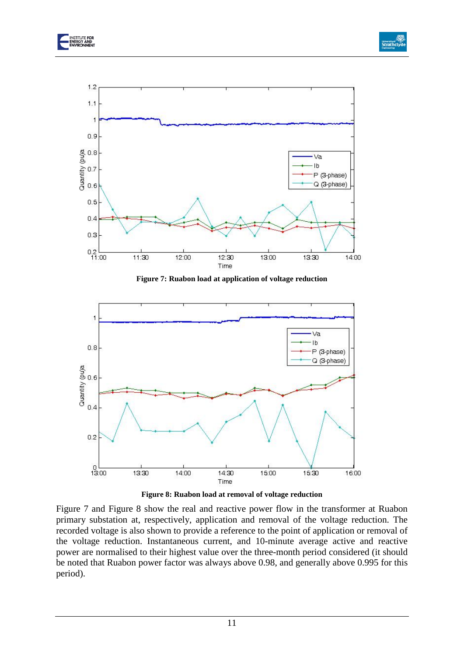



**Figure 7: Ruabon load at application of voltage reduction**

<span id="page-11-0"></span>



<span id="page-11-1"></span>[Figure 7](#page-11-0) and [Figure 8](#page-11-1) show the real and reactive power flow in the transformer at Ruabon primary substation at, respectively, application and removal of the voltage reduction. The recorded voltage is also shown to provide a reference to the point of application or removal of the voltage reduction. Instantaneous current, and 10-minute average active and reactive power are normalised to their highest value over the three-month period considered (it should be noted that Ruabon power factor was always above 0.98, and generally above 0.995 for this period).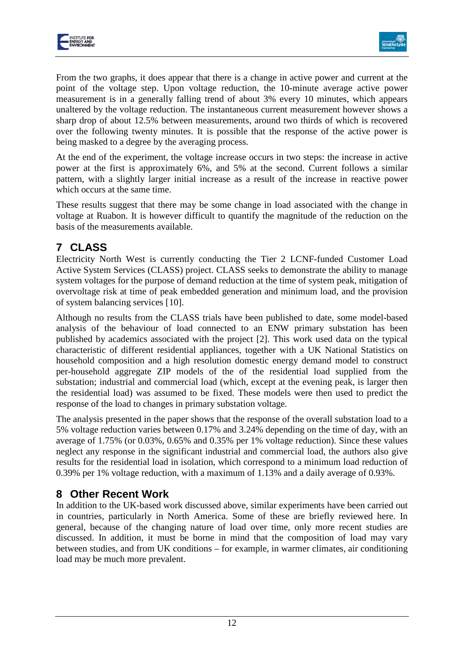



From the two graphs, it does appear that there is a change in active power and current at the point of the voltage step. Upon voltage reduction, the 10-minute average active power measurement is in a generally falling trend of about 3% every 10 minutes, which appears unaltered by the voltage reduction. The instantaneous current measurement however shows a sharp drop of about 12.5% between measurements, around two thirds of which is recovered over the following twenty minutes. It is possible that the response of the active power is being masked to a degree by the averaging process.

At the end of the experiment, the voltage increase occurs in two steps: the increase in active power at the first is approximately 6%, and 5% at the second. Current follows a similar pattern, with a slightly larger initial increase as a result of the increase in reactive power which occurs at the same time.

These results suggest that there may be some change in load associated with the change in voltage at Ruabon. It is however difficult to quantify the magnitude of the reduction on the basis of the measurements available.

# **7 CLASS**

Electricity North West is currently conducting the Tier 2 LCNF-funded Customer Load Active System Services (CLASS) project. CLASS seeks to demonstrate the ability to manage system voltages for the purpose of demand reduction at the time of system peak, mitigation of overvoltage risk at time of peak embedded generation and minimum load, and the provision of system balancing services [[10](#page-18-1)].

Although no results from the CLASS trials have been published to date, some model-based analysis of the behaviour of load connected to an ENW primary substation has been published by academics associated with the project [\[2\]](#page-4-0). This work used data on the typical characteristic of different residential appliances, together with a UK National Statistics on household composition and a high resolution domestic energy demand model to construct per-household aggregate ZIP models of the of the residential load supplied from the substation; industrial and commercial load (which, except at the evening peak, is larger then the residential load) was assumed to be fixed. These models were then used to predict the response of the load to changes in primary substation voltage.

The analysis presented in the paper shows that the response of the overall substation load to a 5% voltage reduction varies between 0.17% and 3.24% depending on the time of day, with an average of 1.75% (or 0.03%, 0.65% and 0.35% per 1% voltage reduction). Since these values neglect any response in the significant industrial and commercial load, the authors also give results for the residential load in isolation, which correspond to a minimum load reduction of 0.39% per 1% voltage reduction, with a maximum of 1.13% and a daily average of 0.93%.

# **8 Other Recent Work**

In addition to the UK-based work discussed above, similar experiments have been carried out in countries, particularly in North America. Some of these are briefly reviewed here. In general, because of the changing nature of load over time, only more recent studies are discussed. In addition, it must be borne in mind that the composition of load may vary between studies, and from UK conditions – for example, in warmer climates, air conditioning load may be much more prevalent.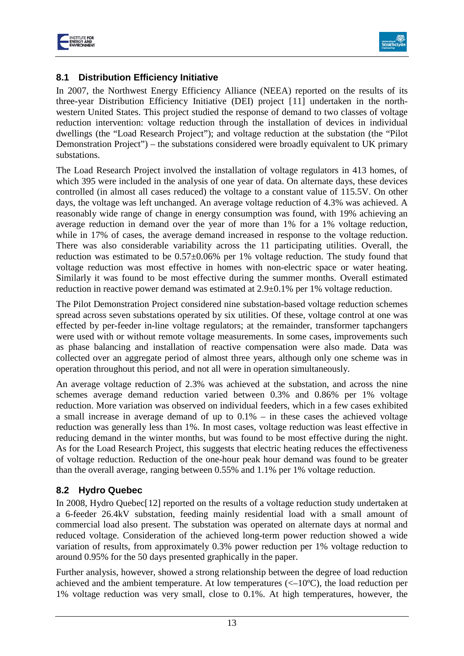



## **8.1 Distribution Efficiency Initiative**

In 2007, the Northwest Energy Efficiency Alliance (NEEA) reported on the results of its three-year Distribution Efficiency Initiative (DEI) project [[11\]](#page-18-2) undertaken in the northwestern United States. This project studied the response of demand to two classes of voltage reduction intervention: voltage reduction through the installation of devices in individual dwellings (the "Load Research Project"); and voltage reduction at the substation (the "Pilot Demonstration Project") – the substations considered were broadly equivalent to UK primary substations.

The Load Research Project involved the installation of voltage regulators in 413 homes, of which 395 were included in the analysis of one year of data. On alternate days, these devices controlled (in almost all cases reduced) the voltage to a constant value of 115.5V. On other days, the voltage was left unchanged. An average voltage reduction of 4.3% was achieved. A reasonably wide range of change in energy consumption was found, with 19% achieving an average reduction in demand over the year of more than 1% for a 1% voltage reduction, while in 17% of cases, the average demand increased in response to the voltage reduction. There was also considerable variability across the 11 participating utilities. Overall, the reduction was estimated to be 0.57±0.06% per 1% voltage reduction. The study found that voltage reduction was most effective in homes with non-electric space or water heating. Similarly it was found to be most effective during the summer months. Overall estimated reduction in reactive power demand was estimated at 2.9±0.1% per 1% voltage reduction.

The Pilot Demonstration Project considered nine substation-based voltage reduction schemes spread across seven substations operated by six utilities. Of these, voltage control at one was effected by per-feeder in-line voltage regulators; at the remainder, transformer tapchangers were used with or without remote voltage measurements. In some cases, improvements such as phase balancing and installation of reactive compensation were also made. Data was collected over an aggregate period of almost three years, although only one scheme was in operation throughout this period, and not all were in operation simultaneously.

An average voltage reduction of 2.3% was achieved at the substation, and across the nine schemes average demand reduction varied between 0.3% and 0.86% per 1% voltage reduction. More variation was observed on individual feeders, which in a few cases exhibited a small increase in average demand of up to 0.1% – in these cases the achieved voltage reduction was generally less than 1%. In most cases, voltage reduction was least effective in reducing demand in the winter months, but was found to be most effective during the night. As for the Load Research Project, this suggests that electric heating reduces the effectiveness of voltage reduction. Reduction of the one-hour peak hour demand was found to be greater than the overall average, ranging between 0.55% and 1.1% per 1% voltage reduction.

## **8.2 Hydro Quebec**

In 2008, Hydro Quebec[[12](#page-18-3)] reported on the results of a voltage reduction study undertaken at a 6-feeder 26.4kV substation, feeding mainly residential load with a small amount of commercial load also present. The substation was operated on alternate days at normal and reduced voltage. Consideration of the achieved long-term power reduction showed a wide variation of results, from approximately 0.3% power reduction per 1% voltage reduction to around 0.95% for the 50 days presented graphically in the paper.

Further analysis, however, showed a strong relationship between the degree of load reduction achieved and the ambient temperature. At low temperatures (<–10ºC), the load reduction per 1% voltage reduction was very small, close to 0.1%. At high temperatures, however, the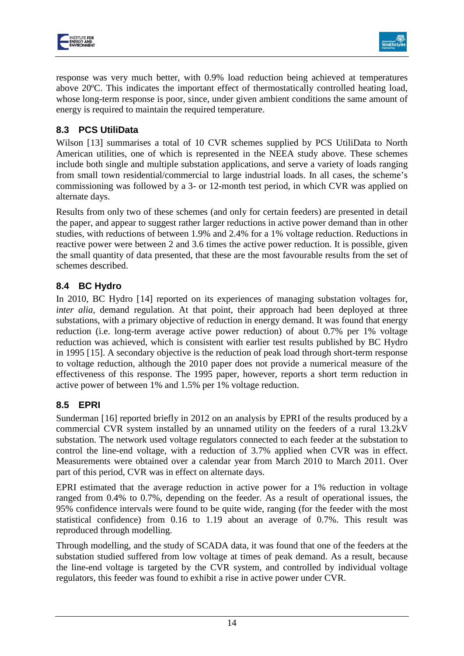



response was very much better, with 0.9% load reduction being achieved at temperatures above 20ºC. This indicates the important effect of thermostatically controlled heating load, whose long-term response is poor, since, under given ambient conditions the same amount of energy is required to maintain the required temperature.

## **8.3 PCS UtiliData**

Wilson [[13](#page-18-4)] summarises a total of 10 CVR schemes supplied by PCS UtiliData to North American utilities, one of which is represented in the NEEA study above. These schemes include both single and multiple substation applications, and serve a variety of loads ranging from small town residential/commercial to large industrial loads. In all cases, the scheme's commissioning was followed by a 3- or 12-month test period, in which CVR was applied on alternate days.

Results from only two of these schemes (and only for certain feeders) are presented in detail the paper, and appear to suggest rather larger reductions in active power demand than in other studies, with reductions of between 1.9% and 2.4% for a 1% voltage reduction. Reductions in reactive power were between 2 and 3.6 times the active power reduction. It is possible, given the small quantity of data presented, that these are the most favourable results from the set of schemes described.

## **8.4 BC Hydro**

In 2010, BC Hydro [[14](#page-18-5)] reported on its experiences of managing substation voltages for, *inter alia*, demand regulation. At that point, their approach had been deployed at three substations, with a primary objective of reduction in energy demand. It was found that energy reduction (i.e. long-term average active power reduction) of about 0.7% per 1% voltage reduction was achieved, which is consistent with earlier test results published by BC Hydro in 1995 [[15\]](#page-18-6). A secondary objective is the reduction of peak load through short-term response to voltage reduction, although the 2010 paper does not provide a numerical measure of the effectiveness of this response. The 1995 paper, however, reports a short term reduction in active power of between 1% and 1.5% per 1% voltage reduction.

## **8.5 EPRI**

Sunderman [[16\]](#page-18-7) reported briefly in 2012 on an analysis by EPRI of the results produced by a commercial CVR system installed by an unnamed utility on the feeders of a rural 13.2kV substation. The network used voltage regulators connected to each feeder at the substation to control the line-end voltage, with a reduction of 3.7% applied when CVR was in effect. Measurements were obtained over a calendar year from March 2010 to March 2011. Over part of this period, CVR was in effect on alternate days.

EPRI estimated that the average reduction in active power for a 1% reduction in voltage ranged from 0.4% to 0.7%, depending on the feeder. As a result of operational issues, the 95% confidence intervals were found to be quite wide, ranging (for the feeder with the most statistical confidence) from 0.16 to 1.19 about an average of 0.7%. This result was reproduced through modelling.

Through modelling, and the study of SCADA data, it was found that one of the feeders at the substation studied suffered from low voltage at times of peak demand. As a result, because the line-end voltage is targeted by the CVR system, and controlled by individual voltage regulators, this feeder was found to exhibit a rise in active power under CVR.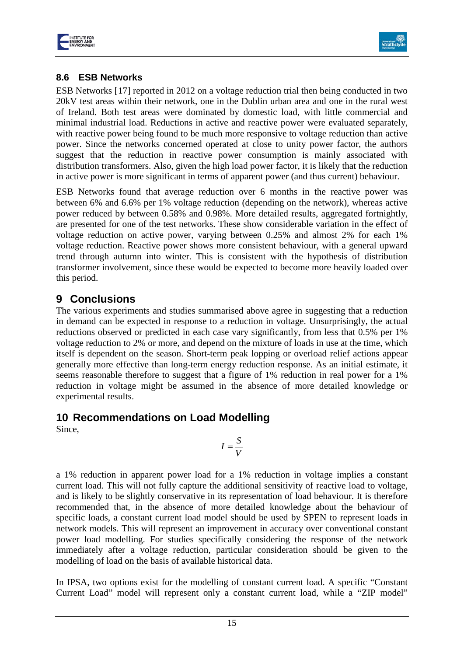



## **8.6 ESB Networks**

ESB Networks [[17\]](#page-18-8) reported in 2012 on a voltage reduction trial then being conducted in two 20kV test areas within their network, one in the Dublin urban area and one in the rural west of Ireland. Both test areas were dominated by domestic load, with little commercial and minimal industrial load. Reductions in active and reactive power were evaluated separately, with reactive power being found to be much more responsive to voltage reduction than active power. Since the networks concerned operated at close to unity power factor, the authors suggest that the reduction in reactive power consumption is mainly associated with distribution transformers. Also, given the high load power factor, it is likely that the reduction in active power is more significant in terms of apparent power (and thus current) behaviour.

ESB Networks found that average reduction over 6 months in the reactive power was between 6% and 6.6% per 1% voltage reduction (depending on the network), whereas active power reduced by between 0.58% and 0.98%. More detailed results, aggregated fortnightly, are presented for one of the test networks. These show considerable variation in the effect of voltage reduction on active power, varying between 0.25% and almost 2% for each 1% voltage reduction. Reactive power shows more consistent behaviour, with a general upward trend through autumn into winter. This is consistent with the hypothesis of distribution transformer involvement, since these would be expected to become more heavily loaded over this period.

## **9 Conclusions**

The various experiments and studies summarised above agree in suggesting that a reduction in demand can be expected in response to a reduction in voltage. Unsurprisingly, the actual reductions observed or predicted in each case vary significantly, from less that 0.5% per 1% voltage reduction to 2% or more, and depend on the mixture of loads in use at the time, which itself is dependent on the season. Short-term peak lopping or overload relief actions appear generally more effective than long-term energy reduction response. As an initial estimate, it seems reasonable therefore to suggest that a figure of 1% reduction in real power for a 1% reduction in voltage might be assumed in the absence of more detailed knowledge or experimental results.

## **10 Recommendations on Load Modelling**

Since,

$$
I=\frac{S}{V}
$$

a 1% reduction in apparent power load for a 1% reduction in voltage implies a constant current load. This will not fully capture the additional sensitivity of reactive load to voltage, and is likely to be slightly conservative in its representation of load behaviour. It is therefore recommended that, in the absence of more detailed knowledge about the behaviour of specific loads, a constant current load model should be used by SPEN to represent loads in network models. This will represent an improvement in accuracy over conventional constant power load modelling. For studies specifically considering the response of the network immediately after a voltage reduction, particular consideration should be given to the modelling of load on the basis of available historical data.

In IPSA, two options exist for the modelling of constant current load. A specific "Constant Current Load" model will represent only a constant current load, while a "ZIP model"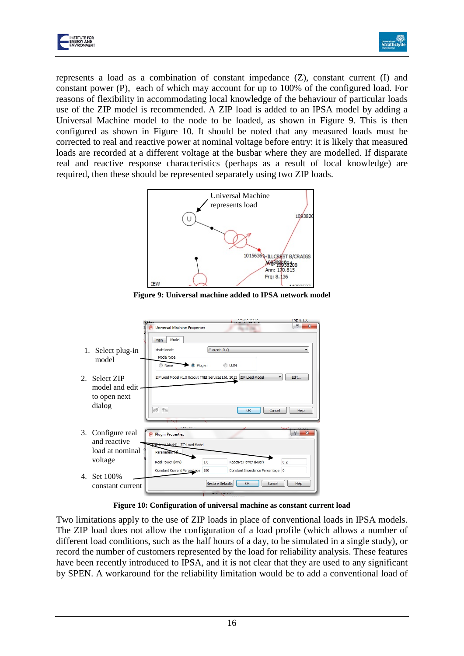



represents a load as a combination of constant impedance  $(Z)$ , constant current  $(I)$  and constant power (P), each of which may account for up to 100% of the configured load. For reasons of flexibility in accommodating local knowledge of the behaviour of particular loads use of the ZIP model is recommended. A ZIP load is added to an IPSA model by adding a Universal Machine model to the node to be loaded, as shown in [Figure 9.](#page-16-0) This is then configured as shown in [Figure 10.](#page-16-1) It should be noted that any measured loads must be corrected to real and reactive power at nominal voltage before entry: it is likely that measured loads are recorded at a different voltage at the busbar where they are modelled. If disparate real and reactive response characteristics (perhaps as a result of local knowledge) are required, then these should be represented separately using two ZIP loads.



**Figure 9: Universal machine added to IPSA network model**

<span id="page-16-0"></span>

|                                           | 994                                                                              |                                                              | <b>Frg: 8.136</b>              |
|-------------------------------------------|----------------------------------------------------------------------------------|--------------------------------------------------------------|--------------------------------|
|                                           | Universal Machine Properties                                                     |                                                              | $\mathbf{x}$                   |
| 1. Select plug-in<br>model                | Model<br>Main<br>Model mode<br>Model type<br><sup>O</sup> Plug-in<br><b>None</b> | Current, D-Q<br><b>UDM</b><br>∩                              | ▼                              |
| 2. Select ZIP                             |                                                                                  | ZIP Load Model v1.0 © TNEI Services Ltd. 2013 ZIP Load Model | Edit<br>▼                      |
| model and edit.<br>to open next<br>dialog | $\oslash$<br>$\mathbb{R}$                                                        | OK<br>Cancel                                                 | Help                           |
|                                           |                                                                                  |                                                              |                                |
| 3. Configure real<br>and reactive         | エココココム<br><b>Plugin Properties</b><br>ZTP Load Model - ZIP Load Model            |                                                              | D<br>$\boldsymbol{\mathsf{x}}$ |
| load at nominal                           | Parameters (1)                                                                   |                                                              |                                |
| voltage                                   | Real Power (MW)<br>1.0                                                           | Reactive Power (MVar)                                        | 0.2                            |
| 4. Set 100%                               | Constant Current Percentage<br>100                                               | Constant Impedance Percentage 0                              |                                |
| constant current                          |                                                                                  | <b>Restore Defaults</b><br>OK<br>Cancel                      | Help                           |
|                                           |                                                                                  |                                                              |                                |

**Figure 10: Configuration of universal machine as constant current load**

<span id="page-16-1"></span>Two limitations apply to the use of ZIP loads in place of conventional loads in IPSA models. The ZIP load does not allow the configuration of a load profile (which allows a number of different load conditions, such as the half hours of a day, to be simulated in a single study), or record the number of customers represented by the load for reliability analysis. These features have been recently introduced to IPSA, and it is not clear that they are used to any significant by SPEN. A workaround for the reliability limitation would be to add a conventional load of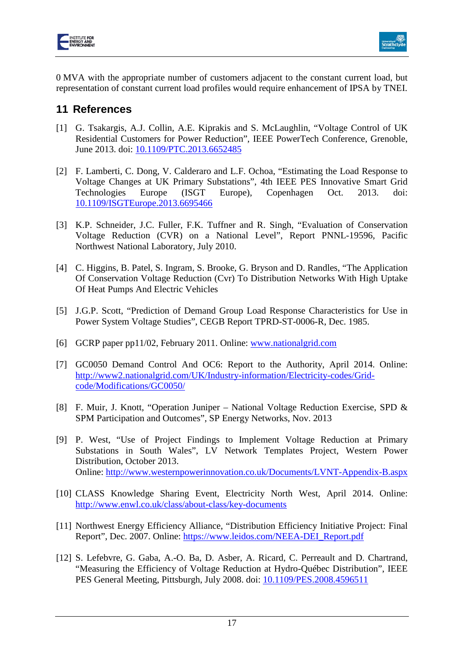



0 MVA with the appropriate number of customers adjacent to the constant current load, but representation of constant current load profiles would require enhancement of IPSA by TNEI.

## **11 References**

- <span id="page-17-0"></span>[1] G. Tsakargis, A.J. Collin, A.E. Kiprakis and S. McLaughlin, "Voltage Control of UK Residential Customers for Power Reduction", IEEE PowerTech Conference, Grenoble, June 2013. doi: [10.1109/PTC.2013.6652485](http://dx.doi.org/10.1109/PTC.2013.6652485)
- <span id="page-17-1"></span>[2] F. Lamberti, C. Dong, V. Calderaro and L.F. Ochoa, "Estimating the Load Response to Voltage Changes at UK Primary Substations", 4th IEEE PES Innovative Smart Grid Technologies Europe (ISGT Europe), Copenhagen Oct. 2013. doi: [10.1109/ISGTEurope.2013.6695466](http://dx.doi.org/10.1109/ISGTEurope.2013.6695466)
- <span id="page-17-2"></span>[3] K.P. Schneider, J.C. Fuller, F.K. Tuffner and R. Singh, "Evaluation of Conservation Voltage Reduction (CVR) on a National Level", Report PNNL-19596, Pacific Northwest National Laboratory, July 2010.
- <span id="page-17-3"></span>[4] C. Higgins, B. Patel, S. Ingram, S. Brooke, G. Bryson and D. Randles, "The Application Of Conservation Voltage Reduction (Cvr) To Distribution Networks With High Uptake Of Heat Pumps And Electric Vehicles
- <span id="page-17-4"></span>[5] J.G.P. Scott, "Prediction of Demand Group Load Response Characteristics for Use in Power System Voltage Studies", CEGB Report TPRD-ST-0006-R, Dec. 1985.
- <span id="page-17-5"></span>[6] GCRP paper pp11/02, February 2011. Online: [www.nationalgrid.com](http://www.nationalgrid.com/)
- <span id="page-17-6"></span>[7] GC0050 Demand Control And OC6: Report to the Authority, April 2014. Online: [http://www2.nationalgrid.com/UK/Industry-information/Electricity-codes/Grid](http://www2.nationalgrid.com/UK/Industry-information/Electricity-codes/Grid-code/Modifications/GC0050/)[code/Modifications/GC0050/](http://www2.nationalgrid.com/UK/Industry-information/Electricity-codes/Grid-code/Modifications/GC0050/)
- <span id="page-17-7"></span>[8] F. Muir, J. Knott, "Operation Juniper – National Voltage Reduction Exercise, SPD & SPM Participation and Outcomes", SP Energy Networks, Nov. 2013
- [9] P. West, "Use of Project Findings to Implement Voltage Reduction at Primary Substations in South Wales", LV Network Templates Project, Western Power Distribution, October 2013. Online:<http://www.westernpowerinnovation.co.uk/Documents/LVNT-Appendix-B.aspx>
- [10] CLASS Knowledge Sharing Event, Electricity North West, April 2014. Online: <http://www.enwl.co.uk/class/about-class/key-documents>
- [11] Northwest Energy Efficiency Alliance, "Distribution Efficiency Initiative Project: Final Report", Dec. 2007. Online: [https://www.leidos.com/NEEA-DEI\\_Report.pdf](https://www.leidos.com/NEEA-DEI_Report.pdf)
- [12] S. Lefebvre, G. Gaba, A.-O. Ba, D. Asber, A. Ricard, C. Perreault and D. Chartrand, "Measuring the Efficiency of Voltage Reduction at Hydro-Québec Distribution", IEEE PES General Meeting, Pittsburgh, July 2008. doi: [10.1109/PES.2008.4596511](http://dx.doi.org/10.1109/PES.2008.4596511)